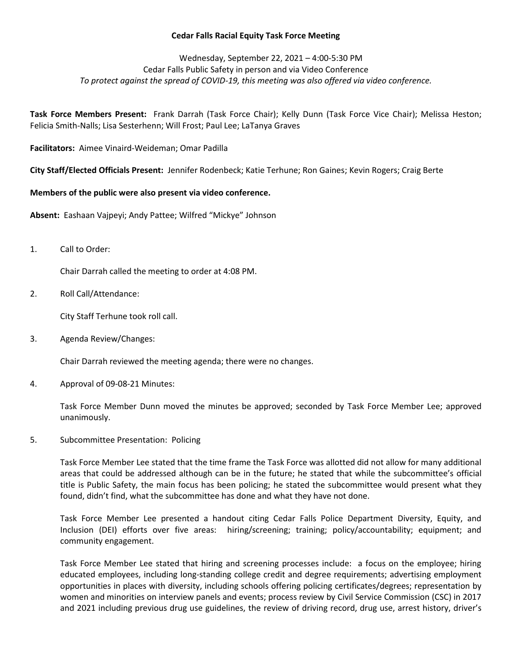## **Cedar Falls Racial Equity Task Force Meeting**

# Wednesday, September 22, 2021 – 4:00-5:30 PM Cedar Falls Public Safety in person and via Video Conference *To protect against the spread of COVID-19, this meeting was also offered via video conference.*

**Task Force Members Present:** Frank Darrah (Task Force Chair); Kelly Dunn (Task Force Vice Chair); Melissa Heston; Felicia Smith-Nalls; Lisa Sesterhenn; Will Frost; Paul Lee; LaTanya Graves

**Facilitators:** Aimee Vinaird-Weideman; Omar Padilla

**City Staff/Elected Officials Present:** Jennifer Rodenbeck; Katie Terhune; Ron Gaines; Kevin Rogers; Craig Berte

#### **Members of the public were also present via video conference.**

**Absent:** Eashaan Vajpeyi; Andy Pattee; Wilfred "Mickye" Johnson

1. Call to Order:

Chair Darrah called the meeting to order at 4:08 PM.

2. Roll Call/Attendance:

City Staff Terhune took roll call.

3. Agenda Review/Changes:

Chair Darrah reviewed the meeting agenda; there were no changes.

4. Approval of 09-08-21 Minutes:

Task Force Member Dunn moved the minutes be approved; seconded by Task Force Member Lee; approved unanimously.

5. Subcommittee Presentation: Policing

Task Force Member Lee stated that the time frame the Task Force was allotted did not allow for many additional areas that could be addressed although can be in the future; he stated that while the subcommittee's official title is Public Safety, the main focus has been policing; he stated the subcommittee would present what they found, didn't find, what the subcommittee has done and what they have not done.

Task Force Member Lee presented a handout citing Cedar Falls Police Department Diversity, Equity, and Inclusion (DEI) efforts over five areas: hiring/screening; training; policy/accountability; equipment; and community engagement.

Task Force Member Lee stated that hiring and screening processes include: a focus on the employee; hiring educated employees, including long-standing college credit and degree requirements; advertising employment opportunities in places with diversity, including schools offering policing certificates/degrees; representation by women and minorities on interview panels and events; process review by Civil Service Commission (CSC) in 2017 and 2021 including previous drug use guidelines, the review of driving record, drug use, arrest history, driver's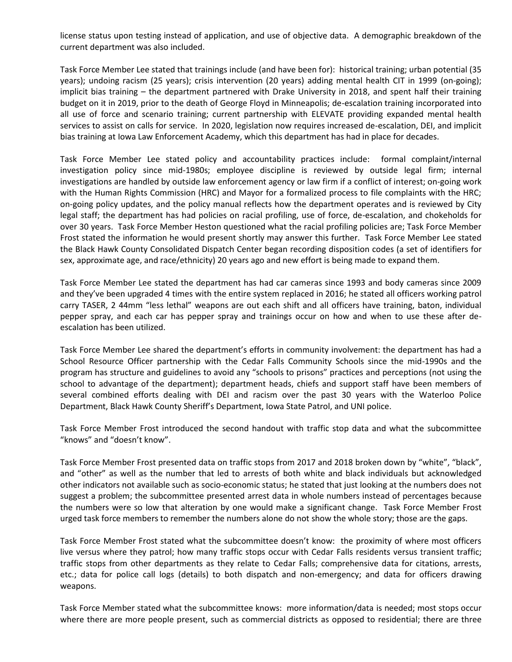license status upon testing instead of application, and use of objective data. A demographic breakdown of the current department was also included.

Task Force Member Lee stated that trainings include (and have been for): historical training; urban potential (35 years); undoing racism (25 years); crisis intervention (20 years) adding mental health CIT in 1999 (on-going); implicit bias training – the department partnered with Drake University in 2018, and spent half their training budget on it in 2019, prior to the death of George Floyd in Minneapolis; de-escalation training incorporated into all use of force and scenario training; current partnership with ELEVATE providing expanded mental health services to assist on calls for service. In 2020, legislation now requires increased de-escalation, DEI, and implicit bias training at Iowa Law Enforcement Academy, which this department has had in place for decades.

Task Force Member Lee stated policy and accountability practices include: formal complaint/internal investigation policy since mid-1980s; employee discipline is reviewed by outside legal firm; internal investigations are handled by outside law enforcement agency or law firm if a conflict of interest; on-going work with the Human Rights Commission (HRC) and Mayor for a formalized process to file complaints with the HRC; on-going policy updates, and the policy manual reflects how the department operates and is reviewed by City legal staff; the department has had policies on racial profiling, use of force, de-escalation, and chokeholds for over 30 years. Task Force Member Heston questioned what the racial profiling policies are; Task Force Member Frost stated the information he would present shortly may answer this further. Task Force Member Lee stated the Black Hawk County Consolidated Dispatch Center began recording disposition codes (a set of identifiers for sex, approximate age, and race/ethnicity) 20 years ago and new effort is being made to expand them.

Task Force Member Lee stated the department has had car cameras since 1993 and body cameras since 2009 and they've been upgraded 4 times with the entire system replaced in 2016; he stated all officers working patrol carry TASER, 2 44mm "less lethal" weapons are out each shift and all officers have training, baton, individual pepper spray, and each car has pepper spray and trainings occur on how and when to use these after deescalation has been utilized.

Task Force Member Lee shared the department's efforts in community involvement: the department has had a School Resource Officer partnership with the Cedar Falls Community Schools since the mid-1990s and the program has structure and guidelines to avoid any "schools to prisons" practices and perceptions (not using the school to advantage of the department); department heads, chiefs and support staff have been members of several combined efforts dealing with DEI and racism over the past 30 years with the Waterloo Police Department, Black Hawk County Sheriff's Department, Iowa State Patrol, and UNI police.

Task Force Member Frost introduced the second handout with traffic stop data and what the subcommittee "knows" and "doesn't know".

Task Force Member Frost presented data on traffic stops from 2017 and 2018 broken down by "white", "black", and "other" as well as the number that led to arrests of both white and black individuals but acknowledged other indicators not available such as socio-economic status; he stated that just looking at the numbers does not suggest a problem; the subcommittee presented arrest data in whole numbers instead of percentages because the numbers were so low that alteration by one would make a significant change. Task Force Member Frost urged task force members to remember the numbers alone do not show the whole story; those are the gaps.

Task Force Member Frost stated what the subcommittee doesn't know: the proximity of where most officers live versus where they patrol; how many traffic stops occur with Cedar Falls residents versus transient traffic; traffic stops from other departments as they relate to Cedar Falls; comprehensive data for citations, arrests, etc.; data for police call logs (details) to both dispatch and non-emergency; and data for officers drawing weapons.

Task Force Member stated what the subcommittee knows: more information/data is needed; most stops occur where there are more people present, such as commercial districts as opposed to residential; there are three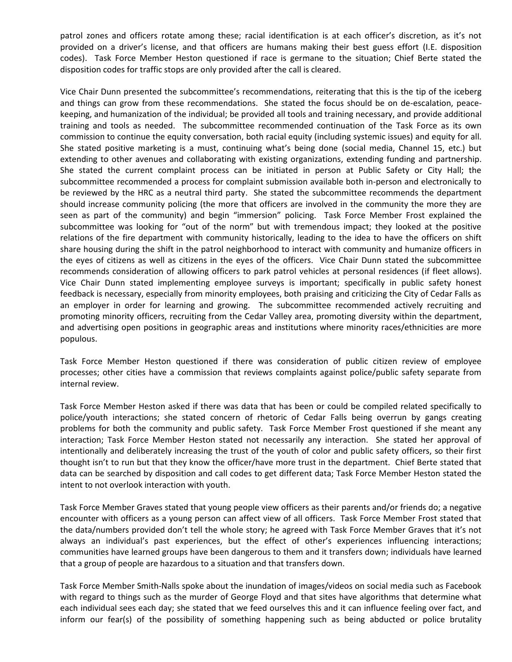patrol zones and officers rotate among these; racial identification is at each officer's discretion, as it's not provided on a driver's license, and that officers are humans making their best guess effort (I.E. disposition codes). Task Force Member Heston questioned if race is germane to the situation; Chief Berte stated the disposition codes for traffic stops are only provided after the call is cleared.

Vice Chair Dunn presented the subcommittee's recommendations, reiterating that this is the tip of the iceberg and things can grow from these recommendations. She stated the focus should be on de-escalation, peacekeeping, and humanization of the individual; be provided all tools and training necessary, and provide additional training and tools as needed. The subcommittee recommended continuation of the Task Force as its own commission to continue the equity conversation, both racial equity (including systemic issues) and equity for all. She stated positive marketing is a must, continuing what's being done (social media, Channel 15, etc.) but extending to other avenues and collaborating with existing organizations, extending funding and partnership. She stated the current complaint process can be initiated in person at Public Safety or City Hall; the subcommittee recommended a process for complaint submission available both in-person and electronically to be reviewed by the HRC as a neutral third party. She stated the subcommittee recommends the department should increase community policing (the more that officers are involved in the community the more they are seen as part of the community) and begin "immersion" policing. Task Force Member Frost explained the subcommittee was looking for "out of the norm" but with tremendous impact; they looked at the positive relations of the fire department with community historically, leading to the idea to have the officers on shift share housing during the shift in the patrol neighborhood to interact with community and humanize officers in the eyes of citizens as well as citizens in the eyes of the officers. Vice Chair Dunn stated the subcommittee recommends consideration of allowing officers to park patrol vehicles at personal residences (if fleet allows). Vice Chair Dunn stated implementing employee surveys is important; specifically in public safety honest feedback is necessary, especially from minority employees, both praising and criticizing the City of Cedar Falls as an employer in order for learning and growing. The subcommittee recommended actively recruiting and promoting minority officers, recruiting from the Cedar Valley area, promoting diversity within the department, and advertising open positions in geographic areas and institutions where minority races/ethnicities are more populous.

Task Force Member Heston questioned if there was consideration of public citizen review of employee processes; other cities have a commission that reviews complaints against police/public safety separate from internal review.

Task Force Member Heston asked if there was data that has been or could be compiled related specifically to police/youth interactions; she stated concern of rhetoric of Cedar Falls being overrun by gangs creating problems for both the community and public safety. Task Force Member Frost questioned if she meant any interaction; Task Force Member Heston stated not necessarily any interaction. She stated her approval of intentionally and deliberately increasing the trust of the youth of color and public safety officers, so their first thought isn't to run but that they know the officer/have more trust in the department. Chief Berte stated that data can be searched by disposition and call codes to get different data; Task Force Member Heston stated the intent to not overlook interaction with youth.

Task Force Member Graves stated that young people view officers as their parents and/or friends do; a negative encounter with officers as a young person can affect view of all officers. Task Force Member Frost stated that the data/numbers provided don't tell the whole story; he agreed with Task Force Member Graves that it's not always an individual's past experiences, but the effect of other's experiences influencing interactions; communities have learned groups have been dangerous to them and it transfers down; individuals have learned that a group of people are hazardous to a situation and that transfers down.

Task Force Member Smith-Nalls spoke about the inundation of images/videos on social media such as Facebook with regard to things such as the murder of George Floyd and that sites have algorithms that determine what each individual sees each day; she stated that we feed ourselves this and it can influence feeling over fact, and inform our fear(s) of the possibility of something happening such as being abducted or police brutality